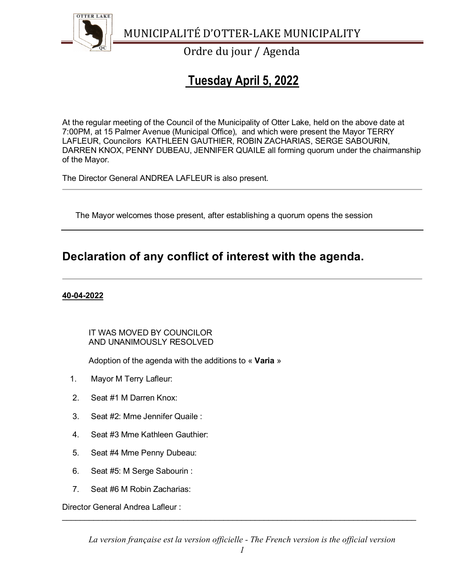

Ordre du jour / Agenda

# **Tuesday April 5, 2022**

At the regular meeting of the Council of the Municipality of Otter Lake, held on the above date at 7:00PM, at 15 Palmer Avenue (Municipal Office), and which were present the Mayor TERRY LAFLEUR, Councilors KATHLEEN GAUTHIER, ROBIN ZACHARIAS, SERGE SABOURIN, DARREN KNOX, PENNY DUBEAU, JENNIFER QUAILE all forming quorum under the chairmanship of the Mayor.

The Director General ANDREA LAFLEUR is also present.

The Mayor welcomes those present, after establishing a quorum opens the session

## **Declaration of any conflict of interest with the agenda.**

### **40-04-2022**

### IT WAS MOVED BY COUNCILOR AND UNANIMOUSLY RESOLVED

Adoption of the agenda with the additions to « **Varia** »

- 1. Mayor M Terry Lafleur:
- 2. Seat #1 M Darren Knox:
- 3. Seat #2: Mme Jennifer Quaile :
- 4. Seat #3 Mme Kathleen Gauthier:
- 5. Seat #4 Mme Penny Dubeau:
- 6. Seat #5: M Serge Sabourin :
- 7. Seat #6 M Robin Zacharias:

Director General Andrea Lafleur :

*La version française est la version officielle - The French version is the official version* 

\_\_\_\_\_\_\_\_\_\_\_\_\_\_\_\_\_\_\_\_\_\_\_\_\_\_\_\_\_\_\_\_\_\_\_\_\_\_\_\_\_\_\_\_\_\_\_\_\_\_\_\_\_\_\_\_\_\_\_\_\_\_\_\_\_\_\_\_\_\_\_\_\_\_\_\_\_\_\_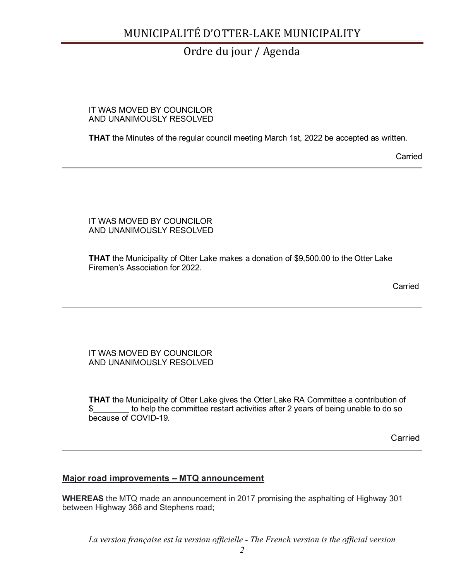### Ordre du jour / Agenda

#### IT WAS MOVED BY COUNCILOR AND UNANIMOUSLY RESOLVED

**THAT** the Minutes of the regular council meeting March 1st, 2022 be accepted as written.

Carried

#### IT WAS MOVED BY COUNCILOR AND UNANIMOUSLY RESOLVED

**THAT** the Municipality of Otter Lake makes a donation of \$9,500.00 to the Otter Lake Firemen's Association for 2022.

**Carried Carried Carried Carried Carried Carried Carried Carried Carried Carried Carried Carried Carried Carried Carried Carried Carried Carried Carried Carried Carried Carried Carried Carried Carried Carried Carried Carri** 

IT WAS MOVED BY COUNCILOR AND UNANIMOUSLY RESOLVED

**THAT** the Municipality of Otter Lake gives the Otter Lake RA Committee a contribution of \$\_\_\_\_\_\_\_\_ to help the committee restart activities after 2 years of being unable to do so because of COVID-19.

Carried

### **Major road improvements – MTQ announcement**

**WHEREAS** the MTQ made an announcement in 2017 promising the asphalting of Highway 301 between Highway 366 and Stephens road;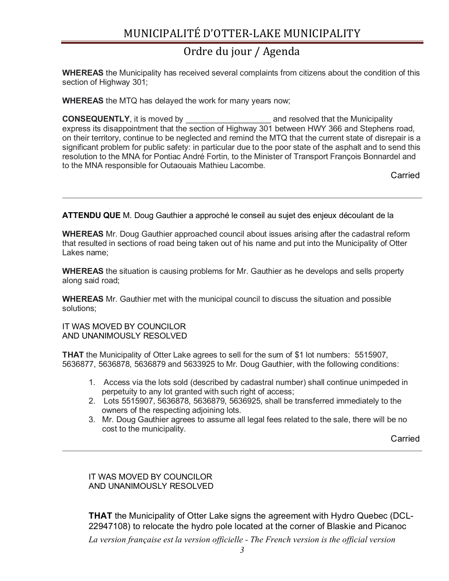### Ordre du jour / Agenda

**WHEREAS** the Municipality has received several complaints from citizens about the condition of this section of Highway 301;

**WHEREAS** the MTQ has delayed the work for many years now;

**CONSEQUENTLY**, it is moved by \_\_\_\_\_\_\_\_\_\_\_\_\_\_\_\_\_\_\_ and resolved that the Municipality express its disappointment that the section of Highway 301 between HWY 366 and Stephens road, on their territory, continue to be neglected and remind the MTQ that the current state of disrepair is a significant problem for public safety: in particular due to the poor state of the asphalt and to send this resolution to the MNA for Pontiac André Fortin, to the Minister of Transport François Bonnardel and to the MNA responsible for Outaouais Mathieu Lacombe.

**Carried Carried Carried Carried Carried Carried Carried Carried Carried Carried Carried Carried Carried Carried Carried Carried Carried Carried Carried Carried Carried Carried Carried Carried Carried Carried Carried Carri** 

**ATTENDU QUE** M. Doug Gauthier a approché le conseil au sujet des enjeux découlant de la

**WHEREAS** Mr. Doug Gauthier approached council about issues arising after the cadastral reform that resulted in sections of road being taken out of his name and put into the Municipality of Otter Lakes name;

**WHEREAS** the situation is causing problems for Mr. Gauthier as he develops and sells property along said road;

**WHEREAS** Mr. Gauthier met with the municipal council to discuss the situation and possible solutions;

IT WAS MOVED BY COUNCILOR AND UNANIMOUSLY RESOLVED

**THAT** the Municipality of Otter Lake agrees to sell for the sum of \$1 lot numbers: 5515907, 5636877, 5636878, 5636879 and 5633925 to Mr. Doug Gauthier, with the following conditions:

- 1. Access via the lots sold (described by cadastral number) shall continue unimpeded in perpetuity to any lot granted with such right of access;
- 2. Lots 5515907, 5636878, 5636879, 5636925, shall be transferred immediately to the owners of the respecting adjoining lots.
- 3. Mr. Doug Gauthier agrees to assume all legal fees related to the sale, there will be no cost to the municipality.

**Carried Carried Carried Carried Carried Carried Carried Carried Carried Carried Carried Carried Carried Carried Carried Carried Carried Carried Carried Carried Carried Carried Carried Carried Carried Carried Carried Carri** 

IT WAS MOVED BY COUNCILOR AND UNANIMOUSLY RESOLVED

**THAT** the Municipality of Otter Lake signs the agreement with Hydro Quebec (DCL-22947108) to relocate the hydro pole located at the corner of Blaskie and Picanoc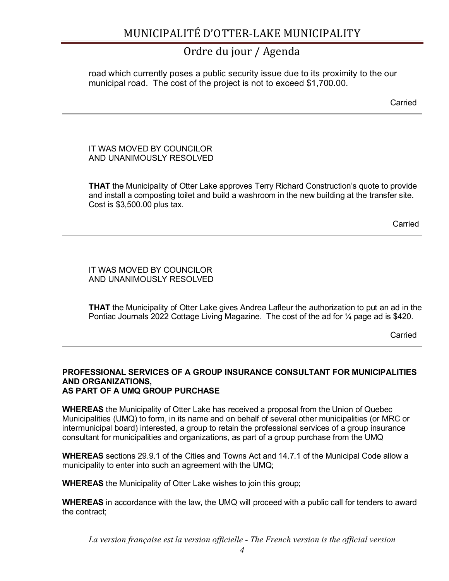### Ordre du jour / Agenda

road which currently poses a public security issue due to its proximity to the our municipal road. The cost of the project is not to exceed \$1,700.00.

**Carried** Carried **Carried** 

#### IT WAS MOVED BY COUNCILOR AND UNANIMOUSLY RESOLVED

**THAT** the Municipality of Otter Lake approves Terry Richard Construction's quote to provide and install a composting toilet and build a washroom in the new building at the transfer site. Cost is \$3,500.00 plus tax.

**Carried** Carried Communication of the Carried Carried Carried Carried Communication of the Carried Carried Carried

IT WAS MOVED BY COUNCILOR AND UNANIMOUSLY RESOLVED

**THAT** the Municipality of Otter Lake gives Andrea Lafleur the authorization to put an ad in the Pontiac Journals 2022 Cottage Living Magazine. The cost of the ad for ¼ page ad is \$420.

**Carried** Carried Communication of the Carried Carried Carried Carried Carried Carried Carried Carried Carried Carried Carried Carried Carried Carried Carried Carried Carried Carried Carried Carried Carried Carried Carried

#### **PROFESSIONAL SERVICES OF A GROUP INSURANCE CONSULTANT FOR MUNICIPALITIES AND ORGANIZATIONS, AS PART OF A UMQ GROUP PURCHASE**

**WHEREAS** the Municipality of Otter Lake has received a proposal from the Union of Quebec Municipalities (UMQ) to form, in its name and on behalf of several other municipalities (or MRC or intermunicipal board) interested, a group to retain the professional services of a group insurance consultant for municipalities and organizations, as part of a group purchase from the UMQ

**WHEREAS** sections 29.9.1 of the Cities and Towns Act and 14.7.1 of the Municipal Code allow a municipality to enter into such an agreement with the UMQ;

**WHEREAS** the Municipality of Otter Lake wishes to join this group;

**WHEREAS** in accordance with the law, the UMQ will proceed with a public call for tenders to award the contract;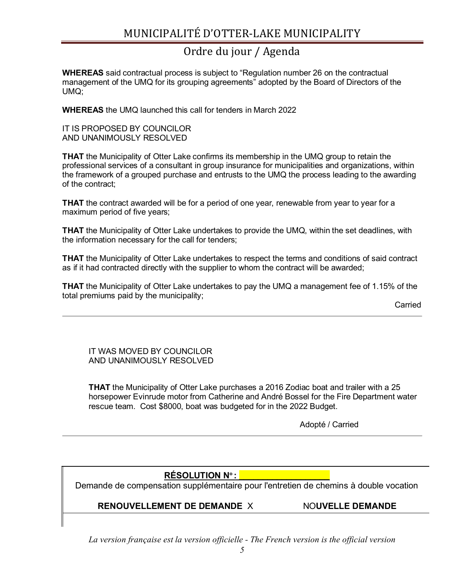## Ordre du jour / Agenda

**WHEREAS** said contractual process is subject to "Regulation number 26 on the contractual management of the UMQ for its grouping agreements" adopted by the Board of Directors of the UMQ;

**WHEREAS** the UMQ launched this call for tenders in March 2022

IT IS PROPOSED BY COUNCILOR AND UNANIMOUSLY RESOLVED

**THAT** the Municipality of Otter Lake confirms its membership in the UMQ group to retain the professional services of a consultant in group insurance for municipalities and organizations, within the framework of a grouped purchase and entrusts to the UMQ the process leading to the awarding of the contract;

**THAT** the contract awarded will be for a period of one year, renewable from year to year for a maximum period of five years;

**THAT** the Municipality of Otter Lake undertakes to provide the UMQ, within the set deadlines, with the information necessary for the call for tenders;

**THAT** the Municipality of Otter Lake undertakes to respect the terms and conditions of said contract as if it had contracted directly with the supplier to whom the contract will be awarded;

**THAT** the Municipality of Otter Lake undertakes to pay the UMQ a management fee of 1.15% of the total premiums paid by the municipality;

Carried

IT WAS MOVED BY COUNCILOR AND UNANIMOUSLY RESOLVED

**THAT** the Municipality of Otter Lake purchases a 2016 Zodiac boat and trailer with a 25 horsepower Evinrude motor from Catherine and André Bossel for the Fire Department water rescue team. Cost \$8000, boat was budgeted for in the 2022 Budget.

Adopté / Carried

### **RÉSOLUTION N<sup>o</sup> : \_\_\_\_\_\_\_\_\_\_\_\_\_\_\_\_\_\_\_**

Demande de compensation supplémentaire pour l'entretien de chemins à double vocation

### **RENOUVELLEMENT DE DEMANDE** X NO**UVELLE DEMANDE**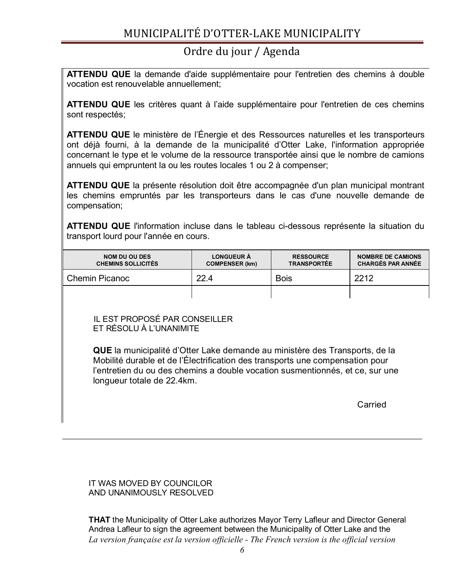### Ordre du jour / Agenda

**ATTENDU QUE** la demande d'aide supplémentaire pour l'entretien des chemins à double vocation est renouvelable annuellement;

**ATTENDU QUE** les critères quant à l'aide supplémentaire pour l'entretien de ces chemins sont respectés;

**ATTENDU QUE** le ministère de l'Énergie et des Ressources naturelles et les transporteurs ont déjà fourni, à la demande de la municipalité d'Otter Lake, l'information appropriée concernant le type et le volume de la ressource transportée ainsi que le nombre de camions annuels qui empruntent la ou les routes locales 1 ou 2 à compenser;

**ATTENDU QUE** la présente résolution doit être accompagnée d'un plan municipal montrant les chemins empruntés par les transporteurs dans le cas d'une nouvelle demande de compensation;

**ATTENDU QUE** l'information incluse dans le tableau ci-dessous représente la situation du transport lourd pour l'année en cours.

| <b>NOM DU OU DES</b><br><b>CHEMINS SOLLICITÉS</b> | <b>LONGUEUR À</b><br><b>COMPENSER (km)</b> | <b>RESSOURCE</b><br><b>TRANSPORTÉE</b> | <b>NOMBRE DE CAMIONS</b><br><b>CHARGÉS PAR ANNÉE</b> |
|---------------------------------------------------|--------------------------------------------|----------------------------------------|------------------------------------------------------|
| <b>Chemin Picanoc</b>                             | 22.4                                       | <b>Bois</b>                            | 2212                                                 |
|                                                   |                                            |                                        |                                                      |

 IL EST PROPOSÉ PAR CONSEILLER ET RÉSOLU À L'UNANIMITE

**QUE** la municipalité d'Otter Lake demande au ministère des Transports, de la Mobilité durable et de l'Électrification des transports une compensation pour l'entretien du ou des chemins a double vocation susmentionnés, et ce, sur une longueur totale de 22.4km.

**Carried Carried Carried Carried Carried Carried Carried Carried Carried Carried Carried Carried Carried Carried Carried Carried Carried Carried Carried Carried Carried Carried Carried Carried Carried Carried Carried Carri** 

IT WAS MOVED BY COUNCILOR AND UNANIMOUSLY RESOLVED

*La version française est la version officielle - The French version is the official version*  **THAT** the Municipality of Otter Lake authorizes Mayor Terry Lafleur and Director General Andrea Lafleur to sign the agreement between the Municipality of Otter Lake and the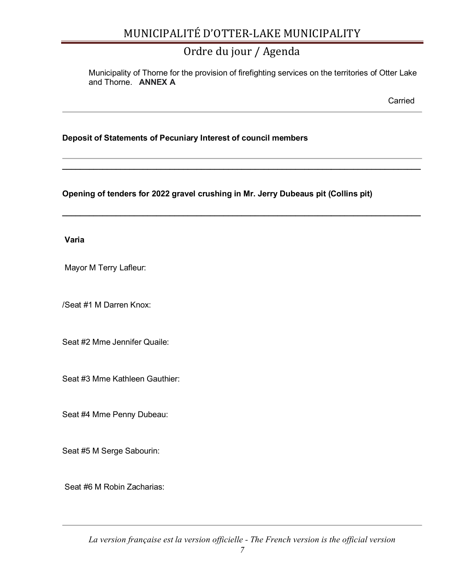## Ordre du jour / Agenda

**\_\_\_\_\_\_\_\_\_\_\_\_\_\_\_\_\_\_\_\_\_\_\_\_\_\_\_\_\_\_\_\_\_\_\_\_\_\_\_\_\_\_\_\_\_\_\_\_\_\_\_\_\_\_\_\_\_\_\_\_\_\_\_\_\_\_\_\_\_\_\_\_\_\_\_\_\_\_\_\_**

**\_\_\_\_\_\_\_\_\_\_\_\_\_\_\_\_\_\_\_\_\_\_\_\_\_\_\_\_\_\_\_\_\_\_\_\_\_\_\_\_\_\_\_\_\_\_\_\_\_\_\_\_\_\_\_\_\_\_\_\_\_\_\_\_\_\_\_\_\_\_\_\_\_\_\_\_\_\_\_\_**

Municipality of Thorne for the provision of firefighting services on the territories of Otter Lake and Thorne. **ANNEX A**

**Carried Carried Carried Carried Carried Carried Carried Carried Carried Carried Carried Carried Carried Carried Carried Carried Carried Carried Carried Carried Carried Carried Carried Carried Carried Carried Carried Carri** 

### **Deposit of Statements of Pecuniary Interest of council members**

### **Opening of tenders for 2022 gravel crushing in Mr. Jerry Dubeaus pit (Collins pit)**

**Varia**

Mayor M Terry Lafleur:

/Seat #1 M Darren Knox:

Seat #2 Mme Jennifer Quaile:

Seat #3 Mme Kathleen Gauthier:

Seat #4 Mme Penny Dubeau:

Seat #5 M Serge Sabourin:

Seat #6 M Robin Zacharias: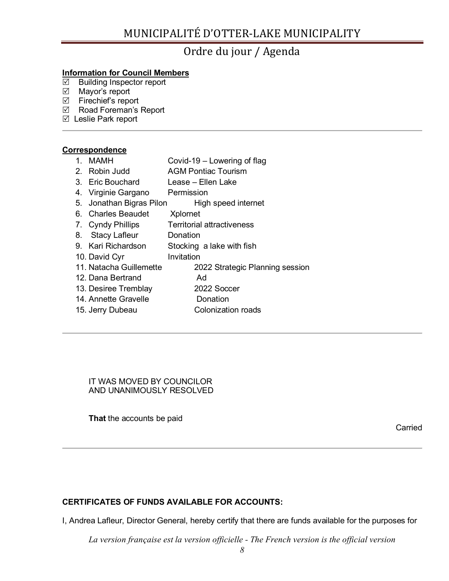### Ordre du jour / Agenda

### **Information for Council Members**

- $\boxtimes$  Building Inspector report
- $\boxtimes$  Mayor's report
- $\boxtimes$  Firechief's report
- Road Foreman's Report
- Leslie Park report

#### **Correspondence**

- 1. MAMH Covid-19 Lowering of flag
- 2. Robin Judd AGM Pontiac Tourism
- 3. Eric Bouchard Lease Ellen Lake
- 4. Virginie Gargano Permission
- 5. Jonathan Bigras Pilon High speed internet
- 6. Charles Beaudet Xplornet
- 7. Cyndy Phillips Territorial attractiveness
- 8. Stacy Lafleur Donation
- 9. Kari Richardson Stocking a lake with fish
- 10. David Cyr **Invitation**
- 11. Natacha Guillemette 2022 Strategic Planning session
- 12. Dana Bertrand Ad
- 13. Desiree Tremblay 2022 Soccer
- 14. Annette Gravelle **Donation**
- 15. Jerry Dubeau Colonization roads

IT WAS MOVED BY COUNCILOR AND UNANIMOUSLY RESOLVED

**That** the accounts be paid

Carried

### **CERTIFICATES OF FUNDS AVAILABLE FOR ACCOUNTS:**

I, Andrea Lafleur, Director General, hereby certify that there are funds available for the purposes for